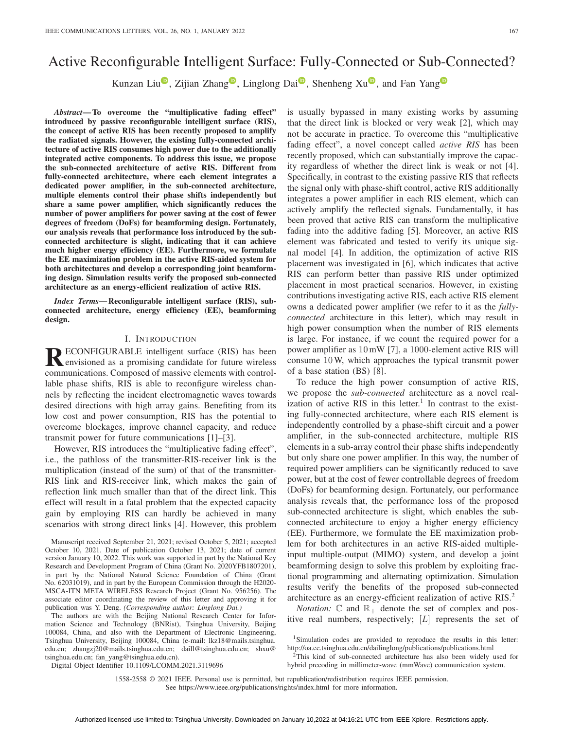# Active Reconfigurable Intelligent Surface: Fully-Connected or Sub-Connected?

Kunzan Liu<sup>®</sup>, Zijian Zhan[g](https://orcid.org/0000-0002-1634-9077)<sup>®</sup>, Linglong Dai<sup>®</sup>, Shenheng Xu<sup>®</sup>, and Fan Yang<sup>®</sup>

*Abstract***— To overcome the "multiplicative fading effect" introduced by passive reconfigurable intelligent surface (RIS), the concept of active RIS has been recently proposed to amplify the radiated signals. However, the existing fully-connected architecture of active RIS consumes high power due to the additionally integrated active components. To address this issue, we propose the sub-connected architecture of active RIS. Different from fully-connected architecture, where each element integrates a dedicated power amplifier, in the sub-connected architecture, multiple elements control their phase shifts independently but share a same power amplifier, which significantly reduces the number of power amplifiers for power saving at the cost of fewer degrees of freedom (DoFs) for beamforming design. Fortunately, our analysis reveals that performance loss introduced by the subconnected architecture is slight, indicating that it can achieve much higher energy efficiency (EE). Furthermore, we formulate the EE maximization problem in the active RIS-aided system for both architectures and develop a corresponding joint beamforming design. Simulation results verify the proposed sub-connected architecture as an energy-efficient realization of active RIS.**

*Index Terms***— Reconfigurable intelligent surface (RIS), subconnected architecture, energy efficiency (EE), beamforming design.**

## I. INTRODUCTION

**RECONFIGURABLE** intelligent surface (RIS) has been<br>envisioned as a promising candidate for future wireless communications. Composed of massive elements with controllable phase shifts, RIS is able to reconfigure wireless channels by reflecting the incident electromagnetic waves towards desired directions with high array gains. Benefiting from its low cost and power consumption, RIS has the potential to overcome blockages, improve channel capacity, and reduce transmit power for future communications [1]–[3].

However, RIS introduces the "multiplicative fading effect", i.e., the pathloss of the transmitter-RIS-receiver link is the multiplication (instead of the sum) of that of the transmitter-RIS link and RIS-receiver link, which makes the gain of reflection link much smaller than that of the direct link. This effect will result in a fatal problem that the expected capacity gain by employing RIS can hardly be achieved in many scenarios with strong direct links [4]. However, this problem

Manuscript received September 21, 2021; revised October 5, 2021; accepted October 10, 2021. Date of publication October 13, 2021; date of current version January 10, 2022. This work was supported in part by the National Key Research and Development Program of China (Grant No. 2020YFB1807201), in part by the National Natural Science Foundation of China (Grant No. 62031019), and in part by the European Commission through the H2020- MSCA-ITN META WIRELESS Research Project (Grant No. 956256). The associate editor coordinating the review of this letter and approving it for publication was Y. Deng. *(Corresponding author: Linglong Dai.)*

The authors are with the Beijing National Research Center for Information Science and Technology (BNRist), Tsinghua University, Beijing 100084, China, and also with the Department of Electronic Engineering, Tsinghua University, Beijing 100084, China (e-mail: lkz18@mails.tsinghua. edu.cn; zhangzj20@mails.tsinghua.edu.cn; daill@tsinghua.edu.cn; shxu@ tsinghua.edu.cn; fan\_yang@tsinghua.edu.cn).

is usually bypassed in many existing works by assuming that the direct link is blocked or very weak [2], which may not be accurate in practice. To overcome this "multiplicative fading effect", a novel concept called *active RIS* has been recently proposed, which can substantially improve the capacity regardless of whether the direct link is weak or not [4]. Specifically, in contrast to the existing passive RIS that reflects the signal only with phase-shift control, active RIS additionally integrates a power amplifier in each RIS element, which can actively amplify the reflected signals. Fundamentally, it has been proved that active RIS can transform the multiplicative fading into the additive fading [5]. Moreover, an active RIS element was fabricated and tested to verify its unique signal model [4]. In addition, the optimization of active RIS placement was investigated in [6], which indicates that active RIS can perform better than passive RIS under optimized placement in most practical scenarios. However, in existing contributions investigating active RIS, each active RIS element owns a dedicated power amplifier (we refer to it as the *fullyconnected* architecture in this letter), which may result in high power consumption when the number of RIS elements is large. For instance, if we count the required power for a power amplifier as 10mW [7], a 1000-element active RIS will consume 10W, which approaches the typical transmit power of a base station (BS) [8].

To reduce the high power consumption of active RIS, we propose the *sub-connected* architecture as a novel realization of active RIS in this letter.<sup>1</sup> In contrast to the existing fully-connected architecture, where each RIS element is independently controlled by a phase-shift circuit and a power amplifier, in the sub-connected architecture, multiple RIS elements in a sub-array control their phase shifts independently but only share one power amplifier. In this way, the number of required power amplifiers can be significantly reduced to save power, but at the cost of fewer controllable degrees of freedom (DoFs) for beamforming design. Fortunately, our performance analysis reveals that, the performance loss of the proposed sub-connected architecture is slight, which enables the subconnected architecture to enjoy a higher energy efficiency (EE). Furthermore, we formulate the EE maximization problem for both architectures in an active RIS-aided multipleinput multiple-output (MIMO) system, and develop a joint beamforming design to solve this problem by exploiting fractional programming and alternating optimization. Simulation results verify the benefits of the proposed sub-connected architecture as an energy-efficient realization of active RIS.<sup>2</sup>

*Notation:*  $\mathbb{C}$  and  $\mathbb{R}_+$  denote the set of complex and positive real numbers, respectively; [L] represents the set of

Digital Object Identifier 10.1109/LCOMM.2021.3119696

1558-2558 © 2021 IEEE. Personal use is permitted, but republication/redistribution requires IEEE permission. See https://www.ieee.org/publications/rights/index.html for more information.

<sup>1</sup>Simulation codes are provided to reproduce the results in this letter: http://oa.ee.tsinghua.edu.cn/dailinglong/publications/publications.html

<sup>&</sup>lt;sup>2</sup>This kind of sub-connected architecture has also been widely used for hybrid precoding in millimeter-wave (mmWave) communication system.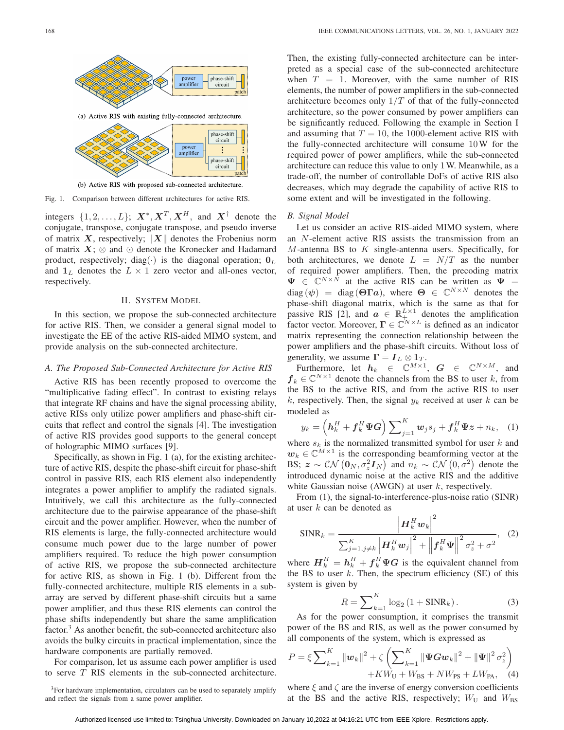

(b) Active RIS with proposed sub-connected architecture.

Fig. 1. Comparison between different architectures for active RIS.

integers  $\{1, 2, ..., L\}$ ;  $X^*, X^T, X^H$ , and  $X^{\dagger}$  denote the conjugate, transpose, conjugate transpose, and pseudo inverse of matrix *X*, respectively;  $||X||$  denotes the Frobenius norm<br>of matrix *X*:  $\otimes$  and  $\odot$  denote the Kronecker and Hadamard of matrix  $X$ ;  $\otimes$  and  $\odot$  denote the Kronecker and Hadamard product, respectively; diag( $\cdot$ ) is the diagonal operation;  $\mathbf{0}_L$ and  $\mathbf{1}_L$  denotes the  $L \times 1$  zero vector and all-ones vector, respectively.

## II. SYSTEM MODEL

In this section, we propose the sub-connected architecture for active RIS. Then, we consider a general signal model to investigate the EE of the active RIS-aided MIMO system, and provide analysis on the sub-connected architecture.

## *A. The Proposed Sub-Connected Architecture for Active RIS*

Active RIS has been recently proposed to overcome the "multiplicative fading effect". In contrast to existing relays that integrate RF chains and have the signal processing ability, active RISs only utilize power amplifiers and phase-shift circuits that reflect and control the signals [4]. The investigation of active RIS provides good supports to the general concept of holographic MIMO surfaces [9].

Specifically, as shown in Fig. 1 (a), for the existing architecture of active RIS, despite the phase-shift circuit for phase-shift control in passive RIS, each RIS element also independently integrates a power amplifier to amplify the radiated signals. Intuitively, we call this architecture as the fully-connected architecture due to the pairwise appearance of the phase-shift circuit and the power amplifier. However, when the number of RIS elements is large, the fully-connected architecture would consume much power due to the large number of power amplifiers required. To reduce the high power consumption of active RIS, we propose the sub-connected architecture for active RIS, as shown in Fig. 1 (b). Different from the fully-connected architecture, multiple RIS elements in a subarray are served by different phase-shift circuits but a same power amplifier, and thus these RIS elements can control the phase shifts independently but share the same amplification  $factor<sup>3</sup>$ . As another benefit, the sub-connected architecture also avoids the bulky circuits in practical implementation, since the hardware components are partially removed.

For comparison, let us assume each power amplifier is used to serve T RIS elements in the sub-connected architecture.

Then, the existing fully-connected architecture can be interpreted as a special case of the sub-connected architecture when  $T = 1$ . Moreover, with the same number of RIS elements, the number of power amplifiers in the sub-connected architecture becomes only  $1/T$  of that of the fully-connected architecture, so the power consumed by power amplifiers can be significantly reduced. Following the example in Section I and assuming that  $T = 10$ , the 1000-element active RIS with the fully-connected architecture will consume 10W for the required power of power amplifiers, while the sub-connected architecture can reduce this value to only 1W. Meanwhile, as a trade-off, the number of controllable DoFs of active RIS also decreases, which may degrade the capability of active RIS to some extent and will be investigated in the following.

## *B. Signal Model*

Let us consider an active RIS-aided MIMO system, where an N-element active RIS assists the transmission from an  $M$ -antenna BS to  $K$  single-antenna users. Specifically, for both architectures, we denote  $L = N/T$  as the number of required power amplifiers. Then, the precoding matrix  $\Psi \in \mathbb{C}^{N \times N}$  at the active RIS can be written as  $\Psi =$  $diag (\psi) = diag (\Theta \Gamma a)$ , where  $\Theta \in \mathbb{C}^{N \times N}$  denotes the phase-shift diagonal matrix, which is the same as that for passive RIS [2], and  $a \in \mathbb{R}^{L \times 1}_{+}$  denotes the amplification factor vector Moreover  $\Gamma \in \mathbb{C}^{N \times L}$  is defined as an indicator factor vector. Moreover,  $\Gamma \in \mathbb{C}^{N \times L}$  is defined as an indicator matrix representing the connection relationship between the power amplifiers and the phase-shift circuits. Without loss of generality, we assume  $\Gamma = I_L \otimes 1_T$ .<br>Furthermore let  $h_i \in \mathbb{C}^{M \times 1}$ 

Furthermore, let  $h_k \in \mathbb{C}^{M \times 1}$ ,  $G \in \mathbb{C}^{N \times M}$ , and  $\in \mathbb{C}^{N \times 1}$  denote the channels from the BS to user k from  $f_k \in \mathbb{C}^{N \times 1}$  denote the channels from the BS to user k, from the RS to user the BS to the active RIS, and from the active RIS to user k, respectively. Then, the signal  $y_k$  received at user k can be modeled as

$$
y_k = \left(\mathbf{h}_k^H + \mathbf{f}_k^H \boldsymbol{\Psi} \mathbf{G}\right) \sum_{j=1}^K \mathbf{w}_j s_j + \mathbf{f}_k^H \boldsymbol{\Psi} \mathbf{z} + n_k, \quad (1)
$$

where  $s_k$  is the normalized transmitted symbol for user k and  $u_k \in \mathbb{C}^{M \times 1}$  is the corresponding beamforming vector at the  $w_k \in \mathbb{C}^{M \times 1}$  is the corresponding beamforming vector at the BS;  $z \sim \mathcal{CN} (\mathbf{0}_N, \sigma_z^2 \mathbf{I}_N)$  and  $n_k \sim \mathcal{CN} (\mathbf{0}, \sigma_z^2)$  denote the introduced dynamic noise at the active RIS and the additive introduced dynamic noise at the active RIS and the additive white Gaussian noise (AWGN) at user  $k$ , respectively.

From (1), the signal-to-interference-plus-noise ratio (SINR) at user  $k$  can be denoted as

$$
\text{SINR}_k = \frac{\left|\boldsymbol{H}_k^H \boldsymbol{w}_k\right|^2}{\sum_{j=1, j\neq k}^K \left|\boldsymbol{H}_k^H \boldsymbol{w}_j\right|^2 + \left|\left|\boldsymbol{f}_k^H \boldsymbol{\Psi}\right|\right|^2 \sigma_z^2 + \sigma^2}, \quad (2)
$$

where  $H_k^H = h_k^H + f_k^H \Psi G$  is the equivalent channel from<br>the BS to user k. Then, the spectrum efficiency (SF) of this the BS to user  $k$ . Then, the spectrum efficiency (SE) of this system is given by

$$
R = \sum_{k=1}^{K} \log_2 \left( 1 + \text{SINR}_k \right). \tag{3}
$$
  
As for the power consumption, it comprises the transmit

power of the BS and RIS, as well as the power consumed by all components of the system, which is expressed as

$$
P = \xi \sum_{k=1}^{K} \|\mathbf{w}_k\|^2 + \zeta \left( \sum_{k=1}^{K} \|\mathbf{\Psi} \mathbf{G} \mathbf{w}_k\|^2 + \|\mathbf{\Psi}\|^2 \sigma_z^2 \right) + KW_{\text{U}} + WW_{\text{BS}} + NW_{\text{PS}} + LW_{\text{PA}}, \quad (4)
$$

where  $\xi$  and  $\zeta$  are the inverse of energy conversion coefficients<br>at the BS and the active RIS respectively:  $W_{\text{V}}$  and  $W_{\text{D}}$ at the BS and the active RIS, respectively;  $W_U$  and  $W_{BS}$ 

<sup>&</sup>lt;sup>3</sup>For hardware implementation, circulators can be used to separately amplify and reflect the signals from a same power amplifier.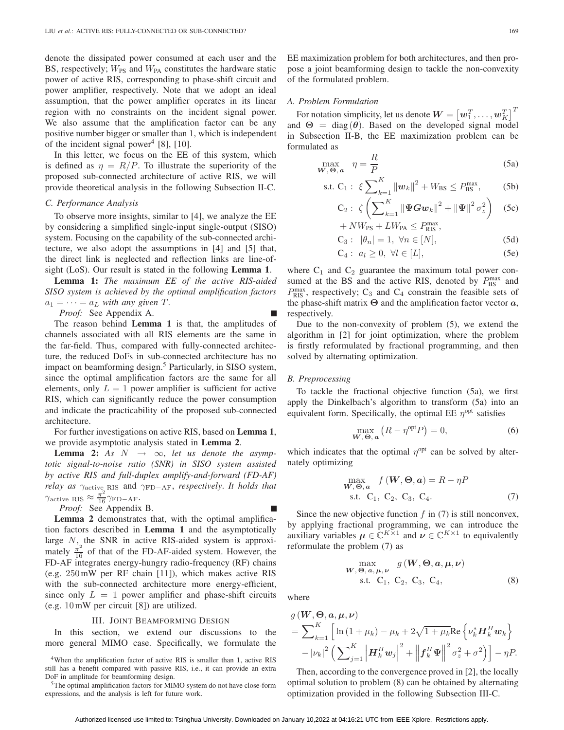denote the dissipated power consumed at each user and the BS, respectively;  $W_{PS}$  and  $W_{PA}$  constitutes the hardware static power of active RIS, corresponding to phase-shift circuit and power amplifier, respectively. Note that we adopt an ideal assumption, that the power amplifier operates in its linear region with no constraints on the incident signal power. We also assume that the amplification factor can be any positive number bigger or smaller than 1, which is independent of the incident signal power<sup>4</sup> [8], [10].

In this letter, we focus on the EE of this system, which is defined as  $\eta = R/P$ . To illustrate the superiority of the proposed sub-connected architecture of active RIS, we will provide theoretical analysis in the following Subsection II-C.

#### *C. Performance Analysis*

To observe more insights, similar to [4], we analyze the EE by considering a simplified single-input single-output (SISO) system. Focusing on the capability of the sub-connected architecture, we also adopt the assumptions in [4] and [5] that, the direct link is neglected and reflection links are line-ofsight (LoS). Our result is stated in the following **Lemma 1**.

**Lemma 1:** *The maximum EE of the active RIS-aided SISO system is achieved by the optimal amplification factors*  $a_1 = \cdots = a_L$  *with any given*  $T$ .

*Proof:* See Appendix A.

The reason behind **Lemma 1** is that, the amplitudes of channels associated with all RIS elements are the same in the far-field. Thus, compared with fully-connected architecture, the reduced DoFs in sub-connected architecture has no impact on beamforming design.<sup>5</sup> Particularly, in SISO system, since the optimal amplification factors are the same for all elements, only  $L = 1$  power amplifier is sufficient for active RIS, which can significantly reduce the power consumption and indicate the practicability of the proposed sub-connected architecture.

For further investigations on active RIS, based on **Lemma 1**, we provide asymptotic analysis stated in **Lemma 2**.

**Lemma 2:** As  $N \rightarrow \infty$ , let us denote the asymp*totic signal-to-noise ratio (SNR) in SISO system assisted by active RIS and full-duplex amplify-and-forward (FD-AF) relay as*  $γ_{\text{active}}$ <sub>RIS</sub> and  $γ_{\text{FD-AF}}$ *, respectively. It holds that*  $\gamma_{\text{active RIS}} \approx \frac{\pi^2}{16} \gamma_{\text{FD-AF}}.$ Proof: See Appendix

*Proof:* See Appendix B.

**Lemma 2** demonstrates that, with the optimal amplification factors described in **Lemma 1** and the asymptotically large  $N$ , the SNR in active RIS-aided system is approximately  $\frac{\pi^2}{16}$  of that of the FD-AF-aided system. However, the FD-AF integrates energy-hungry radio-frequency (RF) chains (e.g. 250mW per RF chain [11]), which makes active RIS with the sub-connected architecture more energy-efficient, since only  $L = 1$  power amplifier and phase-shift circuits (e.g. 10mW per circuit [8]) are utilized.

#### III. JOINT BEAMFORMING DESIGN

In this section, we extend our discussions to the more general MIMO case. Specifically, we formulate the

<sup>4</sup>When the amplification factor of active RIS is smaller than 1, active RIS still has a benefit compared with passive RIS, i.e., it can provide an extra DoF in amplitude for beamforming design.

<sup>5</sup>The optimal amplification factors for MIMO system do not have close-form expressions, and the analysis is left for future work.

#### *A. Problem Formulation*

For notation simplicity, let us denote  $\mathbf{W} = \begin{bmatrix} w_1^T, \dots, w_K^T \end{bmatrix}^T$ <br>d  $\Theta = \text{diag}(\theta)$ . Based on the developed signal model and  $\Theta = \text{diag}(\theta)$ . Based on the developed signal model<br>in Subsection ILB, the EE maximization problem can be in Subsection II-B, the EE maximization problem can be formulated as

$$
\max_{\mathbf{W}, \mathbf{\Theta}, \mathbf{a}} \quad \eta = \frac{R}{P} \tag{5a}
$$

s.t. C<sub>1</sub>: 
$$
\xi \sum_{k=1}^{K} ||w_k||^2 + W_{BS} \le P_{BS}^{\text{max}},
$$
 (5b)

$$
C_2: \ \zeta \left( \sum_{k=1}^K \|\Psi G w_k\|^2 + \|\Psi\|^2 \sigma_z^2 \right) \quad (5c)
$$
  
+ NW\_{\text{DS}} + LW\_{\text{DS}} \leq D^{\text{max}}

+ 
$$
NW_{\text{PS}} + LW_{\text{PA}} \le P_{\text{RIS}}^{\text{max}},
$$
  
C<sub>3</sub>:  $|\theta_n| = 1, \forall n \in [N],$  (5d)

$$
C_4: a_l \ge 0, \ \forall l \in [L], \tag{5e}
$$

where  $C_1$  and  $C_2$  guarantee the maximum total power consumed at the BS and the active RIS, denoted by  $P_{\text{BS}}^{\text{max}}$  and  $P_{\text{BS}}^{\text{max}}$  and  $P_{\text{BS}}^{\text{max}}$  and  $P_{\text{BS}}^{\text{max}}$  and  $P_{\text{BS}}^{\text{max}}$  and  $P_{\text{BS}}^{\text{max}}$  and  $P_{\text{BS}}^{\text{max}}$  and  $P_{\text{BS}}^{\text{max}}$  and  $P_{\text{BS}}^{\text{max}}$  $P_{\text{RIS}}^{\text{max}}$ , respectively; C<sub>3</sub> and C<sub>4</sub> constrain the feasible sets of  $P_{\text{RIS}}$  the amplification factor vector *a* the phase-shift matrix **<sup>Θ</sup>** and the amplification factor vector *a*, respectively.

Due to the non-convexity of problem (5), we extend the algorithm in [2] for joint optimization, where the problem is firstly reformulated by fractional programming, and then solved by alternating optimization.

#### *B. Preprocessing*

To tackle the fractional objective function (5a), we first apply the Dinkelbach's algorithm to transform (5a) into an equivalent form. Specifically, the optimal EE  $\eta^{opt}$  satisfies

$$
\max_{\mathbf{W},\,\mathbf{\Theta},\,\mathbf{a}} \left( R - \eta^{\text{opt}} P \right) = 0,\tag{6}
$$

which indicates that the optimal  $\eta^{\text{opt}}$  can be solved by alternately optimizing

$$
\max_{\mathbf{W}, \mathbf{\Theta}, \mathbf{a}} f(\mathbf{W}, \mathbf{\Theta}, \mathbf{a}) = R - \eta P
$$
  
s.t. C<sub>1</sub>, C<sub>2</sub>, C<sub>3</sub>, C<sub>4</sub>. (7)

Since the new objective function  $f$  in (7) is still nonconvex, by applying fractional programming, we can introduce the auxiliary variables  $\mu \in \mathbb{C}^{K \times 1}$  and  $\nu \in \mathbb{C}^{K \times 1}$  to equivalently reformulate the problem (7) as

$$
\begin{array}{c}\n\max\\ \n\text{max, } \\
\text{s.t. } C_1, C_2, C_3, C_4,\n\end{array} \tag{8}
$$

where

$$
g(\boldsymbol{W}, \boldsymbol{\Theta}, \boldsymbol{a}, \boldsymbol{\mu}, \boldsymbol{\nu})
$$
  
=  $\sum_{k=1}^{K} \left[ \ln \left( 1 + \mu_k \right) - \mu_k + 2\sqrt{1 + \mu_k} \text{Re} \left\{ \nu_k^* \boldsymbol{H}_k^H \boldsymbol{w}_k \right\} - |\nu_k|^2 \left( \sum_{j=1}^{K} \left| \boldsymbol{H}_k^H \boldsymbol{w}_j \right|^2 + \left\| \boldsymbol{f}_k^H \boldsymbol{\Psi} \right\|^2 \sigma_z^2 + \sigma^2 \right) \right] - \eta P.$ 

Then, according to the convergence proved in [2], the locally optimal solution to problem (8) can be obtained by alternating optimization provided in the following Subsection III-C.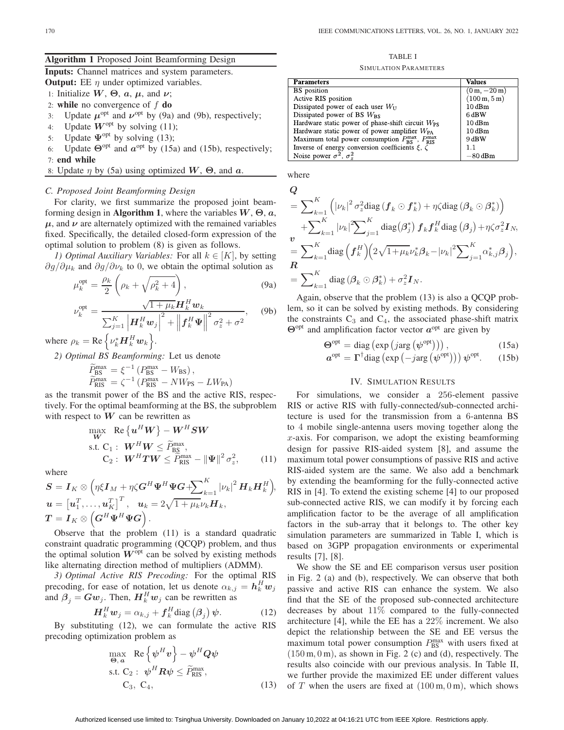## **Algorithm 1** Proposed Joint Beamforming Design

**Inputs:** Channel matrices and system parameters.

**Output:** EE  $\eta$  under optimized variables.

- 
- 1: Initialize  $W$ ,  $\Theta$ ,  $a$ ,  $\mu$ , and  $\nu$ ;<br>2: **while** no convergence of  $f$  **do** 2: **while** no convergence of f **do**<br>3: Update  $\mu^{\text{opt}}$  and  $\nu^{\text{opt}}$  by (9a)
- 3: Update  $\mu^{\text{opt}}$  and  $\nu^{\text{opt}}$  by (9a) and (9b), respectively;<br>4: Update  $W^{\text{opt}}$  by solving (11);
- 4: Update  $W^{\text{opt}}$  by solving (11);<br>5: Update  $\Psi^{\text{opt}}$  by solving (13);
- Update  $\Psi^{\text{opt}}$  by solving (13);
- 6: Update  $\Theta^{\text{opt}}$  and  $a^{\text{opt}}$  by (15a) and (15b), respectively; 7: **end while**
- 8: Update  $\eta$  by (5a) using optimized  $W$ ,  $\Theta$ , and  $\alpha$ .

#### *C. Proposed Joint Beamforming Design*

For clarity, we first summarize the proposed joint beamforming design in **Algorithm 1**, where the variables *W*, **<sup>Θ</sup>**, *a*,  $\mu$ , and  $\nu$  are alternately optimized with the remained variables fixed. Specifically, the detailed closed-form expression of the optimal solution to problem (8) is given as follows.

*1) Optimal Auxiliary Variables:* For all  $k \in [K]$ , by setting  $\partial g/\partial \mu_k$  and  $\partial g/\partial \nu_k$  to 0, we obtain the optimal solution as

$$
\mu_k^{\text{opt}} = \frac{\rho_k}{2} \left( \rho_k + \sqrt{\rho_k^2 + 4} \right),\tag{9a}
$$

$$
\nu_k^{\text{opt}} = \frac{\sqrt{1 + \mu_k} \mathbf{H}_k^H \mathbf{w}_k}{\sum_{j=1}^K \left| \mathbf{H}_k^H \mathbf{w}_j \right|^2 + \left\| \mathbf{f}_k^H \mathbf{\Psi} \right\|^2 \sigma_z^2 + \sigma^2}, \quad \text{(9b)}
$$

where  $\rho_k = \text{Re}\left\{ \nu_k^* \mathbf{H}_k^H \mathbf{w}_k \right\}$  $\big\}$ .

*2) Optimal BS Beamforming:* Let us denote

$$
\widetilde{P}_{\text{BS}}^{\text{max}} = \xi^{-1} \left( P_{\text{BS}}^{\text{max}} - W_{\text{BS}} \right), \n\widetilde{P}_{\text{RIS}}^{\text{max}} = \zeta^{-1} \left( P_{\text{RIS}}^{\text{max}} - N W_{\text{PS}} - L W_{\text{PA}} \right)
$$

 $\widetilde{P}_{\text{RIS}}^{\text{max}} = \zeta^{-1} (P_{\text{RIS}}^{\text{max}} - N W_{\text{PS}} - L W_{\text{PA}})$ <br>as the transmit power of the BS and the active RIS, respectively. For the optimal beamforming at the BS, the subproblem with respect to  $W$  can be rewritten as

$$
\begin{array}{ll}\n\max \limits_{\mathbf{W}} & \text{Re}\left\{ \boldsymbol{u}^{H}\boldsymbol{W} \right\} - \boldsymbol{W}^{H}\boldsymbol{S}\boldsymbol{W} \\
\text{s.t. } \mathbf{C}_{1}: & \boldsymbol{W}^{H}\boldsymbol{W} \leq \widetilde{P}_{\text{BS}}^{\text{max}}, \\
\mathbf{C}_{2}: & \boldsymbol{W}^{H}\boldsymbol{T}\boldsymbol{W} \leq \widetilde{P}_{\text{RIS}}^{\text{max}} - \|\boldsymbol{\Psi}\|^{2} \sigma_{z}^{2},\n\end{array} \tag{11}
$$

where

$$
S = I_K \otimes \left( \eta \xi I_M + \eta \zeta G^H \Psi^H \Psi G + \sum_{k=1}^K |\nu_k|^2 H_k H_k^H \right),
$$
  
\n
$$
u = \left[ u_1^T, \dots, u_K^T \right]^T, \quad u_k = 2\sqrt{1 + \mu_k \nu_k} H_k,
$$
  
\n
$$
T = I_K \otimes \left( G^H \Psi^H \Psi G \right).
$$
  
\nObserve that the problem (11) is a standard quadratic

constraint quadratic programming (QCQP) problem, and thus the optimal solution  $W^{opt}$  can be solved by existing methods like alternating direction method of multipliers (ADMM).

*3) Optimal Active RIS Precoding:* For the optimal RIS precoding, for ease of notation, let us denote  $\alpha_{k,j} = h_k^H w_j$ <br>and  $\beta_{k} - Gw$ . Then  $H^H w_k$  can be rewritten as and  $\beta_j = Gw_j$ . Then,  $H_k^H w_j$  can be rewritten as

$$
H_k^H w_j = \alpha_{k,j} + f_k^H \text{diag}(\beta_j) \psi.
$$
 (12)  
By substituting (12), we can formulate the active RIS

precoding optimization problem as

$$
\max_{\Theta, a} \text{ Re} \left\{ \psi^H v \right\} - \psi^H Q \psi
$$
  
s.t. C<sub>2</sub>:  $\psi^H R \psi \leq \widetilde{P}_{RIS}^{\max}$ ,  
C<sub>3</sub>, C<sub>4</sub>, (13)

TABLE I SIMULATION PARAMETERS

| <b>Parameters</b>                                                                | Values                               |
|----------------------------------------------------------------------------------|--------------------------------------|
| <b>BS</b> position                                                               | $(0 m, -20 m)$                       |
| Active RIS position                                                              | $(100 \,\mathrm{m}, 5 \,\mathrm{m})$ |
| Dissipated power of each user $W_{\text{II}}$                                    | $10$ dBm                             |
| Dissipated power of BS $W_{BS}$                                                  | 6 dBW                                |
| Hardware static power of phase-shift circuit $W_{PS}$                            | 10dBm                                |
| Hardware static power of power amplifier $W_{PA}$                                | 10dBm                                |
| Maximum total power consumption $P_{\rm BS}^{\rm max}$ , $P_{\rm RIS}^{\rm max}$ | 9 dBW                                |
| Inverse of energy conversion coefficients $\xi$ , $\zeta$                        | 1.1                                  |
| Noise power $\sigma^2$ , $\sigma_z^2$                                            | –80 dBm                              |

where

$$
Q
$$
  
=  $\sum_{k=1}^{K} (|\nu_k|^2 \sigma_z^2 \text{diag}(f_k \odot f_k^*) + \eta \zeta \text{diag}(\beta_k \odot \beta_k^*)$   
+ $\sum_{k=1}^{K} |\nu_k|^2 \sum_{j=1}^{K} \text{diag}(\beta_j^*) f_k f_k^H \text{diag}(\beta_j) + \eta \zeta \sigma_z^2 I_N$ ,  
=  $\sum_{k=1}^{K} \text{diag}(f_k^H) (2\sqrt{1 + \mu_k} \nu_k^* \beta_k - |\nu_k|^2 \sum_{j=1}^{K} \alpha_{k,j}^* \beta_j),$   
=  $\sum_{k=1}^{K} \text{diag}(\beta_k \odot \beta_k^*) + \sigma_z^2 I_N$ .

Again, observe that the problem (13) is also a QCQP problem, so it can be solved by existing methods. By considering the constraints  $C_3$  and  $C_4$ , the associated phase-shift matrix **Θ**<sup>opt</sup> and amplification factor vector *a*<sup>opt</sup> are given by<br> **Θ**<sup>opt</sup> – diag (exp (*i*arg (*al*<sub>2</sub><sup>opt</sup>)))

$$
\Theta_{\text{opt}}^{\text{opt}} = \text{diag}\left(\exp\left(j\arg\left(\psi^{\text{opt}}\right)\right)\right),\tag{15a}
$$

$$
\boldsymbol{a}^{\text{opt}} = \boldsymbol{\Gamma}^{\dagger} \text{diag} \left( \exp \left( - j \arg \left( \boldsymbol{\psi}^{\text{opt}} \right) \right) \right) \boldsymbol{\psi}^{\text{opt}}. \qquad (15b)
$$

# IV. SIMULATION RESULTS

For simulations, we consider a 256-element passive RIS or active RIS with fully-connected/sub-connected architecture is used for the transmission from a 6-antenna BS to 4 mobile single-antenna users moving together along the  $x$ -axis. For comparison, we adopt the existing beamforming design for passive RIS-aided system [8], and assume the maximum total power consumptions of passive RIS and active RIS-aided system are the same. We also add a benchmark by extending the beamforming for the fully-connected active RIS in [4]. To extend the existing scheme [4] to our proposed sub-connected active RIS, we can modify it by forcing each amplification factor to be the average of all amplification factors in the sub-array that it belongs to. The other key simulation parameters are summarized in Table I, which is based on 3GPP propagation environments or experimental results [7], [8].

We show the SE and EE comparison versus user position in Fig. 2 (a) and (b), respectively. We can observe that both passive and active RIS can enhance the system. We also find that the SE of the proposed sub-connected architecture decreases by about  $11\%$  compared to the fully-connected architecture [4], while the EE has a 22% increment. We also depict the relationship between the SE and EE versus the maximum total power consumption  $P_{\text{BS}}^{\text{max}}$  with users fixed at (150 m 0 m) as shown in Fig. 2 (c) and (d) respectively. The  $(150 \text{ m}, 0 \text{ m})$ , as shown in Fig. 2 (c) and (d), respectively. The results also coincide with our previous analysis. In Table II, we further provide the maximized EE under different values 3) of T when the users are fixed at  $(100 \text{ m}, 0 \text{ m})$ , which shows